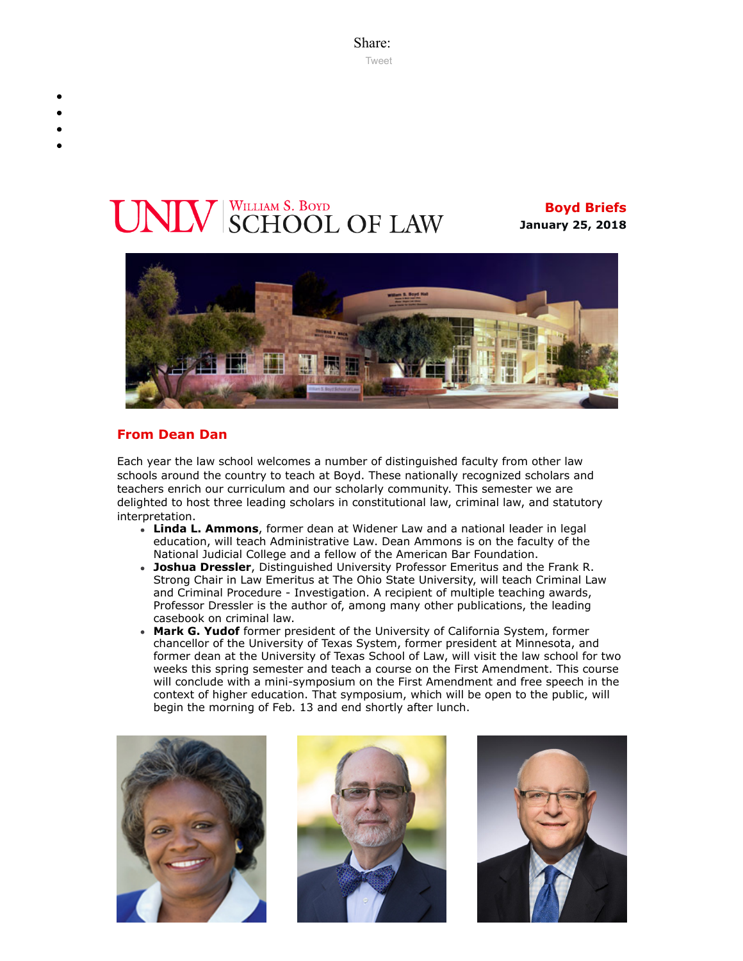Share: [Tweet](https://twitter.com/intent/tweet?ref_src=twsrc%5Etfw&text=Boyd%20Briefs&tw_p=tweetbutton&url=file%3A%2F%2F%2FC%3A%2FUsers%2FElizabeth%2520Manriquez%2FAppData%2FLocal%2FTemp%2FTemp1_boyd-briefs.zip%2Fboyd-briefs%2Femail-BoydBriefs-2018-01-25.html)

# UNLV SCHOOL OF LAW

**Boyd Briefs January 25, 2018**



## **From Dean Dan**

Each year the law school welcomes a number of distinguished faculty from other law schools around the country to teach at Boyd. These nationally recognized scholars and teachers enrich our curriculum and our scholarly community. This semester we are delighted to host three leading scholars in constitutional law, criminal law, and statutory interpretation.

- **Linda L. Ammons**, former dean at Widener Law and a national leader in legal education, will teach Administrative Law. Dean Ammons is on the faculty of the National Judicial College and a fellow of the American Bar Foundation.
- **Joshua Dressler**, Distinguished University Professor Emeritus and the Frank R. Strong Chair in Law Emeritus at The Ohio State University, will teach Criminal Law and Criminal Procedure - Investigation. A recipient of multiple teaching awards, Professor Dressler is the author of, among many other publications, the leading casebook on criminal law.
- **Mark G. Yudof** former president of the University of California System, former chancellor of the University of Texas System, former president at Minnesota, and former dean at the University of Texas School of Law, will visit the law school for two weeks this spring semester and teach a course on the First Amendment. This course will conclude with a mini-symposium on the First Amendment and free speech in the context of higher education. That symposium, which will be open to the public, will begin the morning of Feb. 13 and end shortly after lunch.





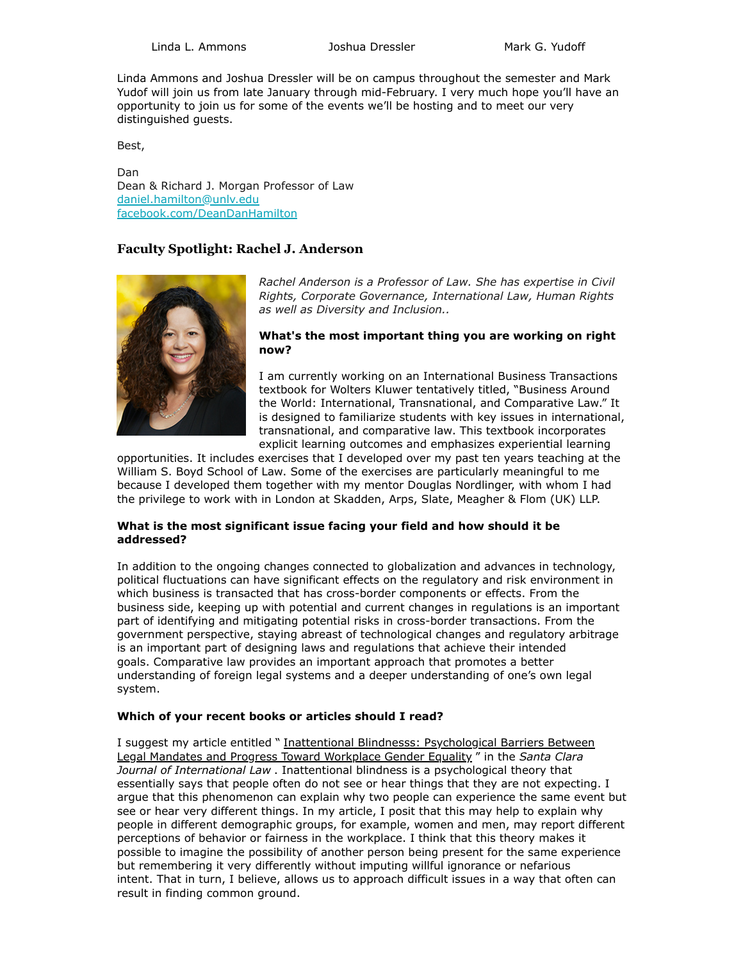Linda L. Ammons **Mark G. Yudoff** Joshua Dressler **Mark G. Yudoff** 

Linda Ammons and Joshua Dressler will be on campus throughout the semester and Mark Yudof will join us from late January through mid-February. I very much hope you'll have an opportunity to join us for some of the events we'll be hosting and to meet our very distinguished guests.

Best,

Dan Dean & Richard J. Morgan Professor of Law [daniel.hamilton@unlv.edu](mailto:daniel.hamilton@unlv.edu) [facebook.com/DeanDanHamilton](https://www.facebook.com/DeanDanHamilton)

## **Faculty Spotlight: Rachel J. Anderson**



*Rachel Anderson is a Professor of Law. She has expertise in Civil Rights, Corporate Governance, International Law, Human Rights as well as Diversity and Inclusion..*

#### **What's the most important thing you are working on right now?**

I am currently working on an International Business Transactions textbook for Wolters Kluwer tentatively titled, "Business Around the World: International, Transnational, and Comparative Law." It is designed to familiarize students with key issues in international, transnational, and comparative law. This textbook incorporates explicit learning outcomes and emphasizes experiential learning

opportunities. It includes exercises that I developed over my past ten years teaching at the William S. Boyd School of Law. Some of the exercises are particularly meaningful to me because I developed them together with my mentor Douglas Nordlinger, with whom I had the privilege to work with in London at Skadden, Arps, Slate, Meagher & Flom (UK) LLP.

#### **What is the most significant issue facing your field and how should it be addressed?**

In addition to the ongoing changes connected to globalization and advances in technology, political fluctuations can have significant effects on the regulatory and risk environment in which business is transacted that has cross-border components or effects. From the business side, keeping up with potential and current changes in regulations is an important part of identifying and mitigating potential risks in cross-border transactions. From the government perspective, staying abreast of technological changes and regulatory arbitrage is an important part of designing laws and regulations that achieve their intended goals. Comparative law provides an important approach that promotes a better understanding of foreign legal systems and a deeper understanding of one's own legal system.

#### **Which of your recent books or articles should I read?**

I suggest my article entitled " Inattentional Blindnesss: Psychological Barriers Between [Legal Mandates and Progress Toward Workplace Gender Equality](http://scholars.law.unlv.edu/facpub/1002/) " in the *Santa Clara Journal of International Law* . Inattentional blindness is a psychological theory that essentially says that people often do not see or hear things that they are not expecting. I argue that this phenomenon can explain why two people can experience the same event but see or hear very different things. In my article, I posit that this may help to explain why people in different demographic groups, for example, women and men, may report different perceptions of behavior or fairness in the workplace. I think that this theory makes it possible to imagine the possibility of another person being present for the same experience but remembering it very differently without imputing willful ignorance or nefarious intent. That in turn, I believe, allows us to approach difficult issues in a way that often can result in finding common ground.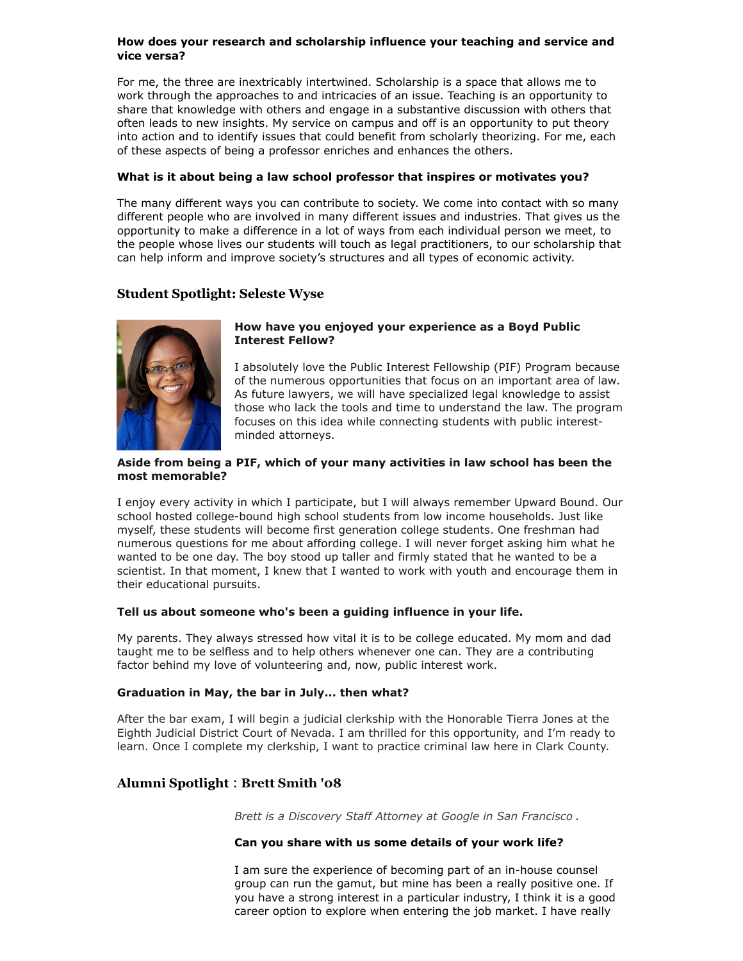#### **How does your research and scholarship influence your teaching and service and vice versa?**

For me, the three are inextricably intertwined. Scholarship is a space that allows me to work through the approaches to and intricacies of an issue. Teaching is an opportunity to share that knowledge with others and engage in a substantive discussion with others that often leads to new insights. My service on campus and off is an opportunity to put theory into action and to identify issues that could benefit from scholarly theorizing. For me, each of these aspects of being a professor enriches and enhances the others.

#### **What is it about being a law school professor that inspires or motivates you?**

The many different ways you can contribute to society. We come into contact with so many different people who are involved in many different issues and industries. That gives us the opportunity to make a difference in a lot of ways from each individual person we meet, to the people whose lives our students will touch as legal practitioners, to our scholarship that can help inform and improve society's structures and all types of economic activity.

# **Student Spotlight: Seleste Wyse**



#### **How have you enjoyed your experience as a Boyd Public Interest Fellow?**

I absolutely love the Public Interest Fellowship (PIF) Program because of the numerous opportunities that focus on an important area of law. As future lawyers, we will have specialized legal knowledge to assist those who lack the tools and time to understand the law. The program focuses on this idea while connecting students with public interestminded attorneys.

#### **Aside from being a PIF, which of your many activities in law school has been the most memorable?**

I enjoy every activity in which I participate, but I will always remember Upward Bound. Our school hosted college-bound high school students from low income households. Just like myself, these students will become first generation college students. One freshman had numerous questions for me about affording college. I will never forget asking him what he wanted to be one day. The boy stood up taller and firmly stated that he wanted to be a scientist. In that moment, I knew that I wanted to work with youth and encourage them in their educational pursuits.

#### **Tell us about someone who's been a guiding influence in your life.**

My parents. They always stressed how vital it is to be college educated. My mom and dad taught me to be selfless and to help others whenever one can. They are a contributing factor behind my love of volunteering and, now, public interest work.

#### **Graduation in May, the bar in July... then what?**

After the bar exam, I will begin a judicial clerkship with the Honorable Tierra Jones at the Eighth Judicial District Court of Nevada. I am thrilled for this opportunity, and I'm ready to learn. Once I complete my clerkship, I want to practice criminal law here in Clark County.

# **Alumni Spotlight** : **Brett Smith '08**

*Brett is a Discovery Staff Attorney at Google in San Francisco .*

#### **Can you share with us some details of your work life?**

I am sure the experience of becoming part of an in-house counsel group can run the gamut, but mine has been a really positive one. If you have a strong interest in a particular industry, I think it is a good career option to explore when entering the job market. I have really